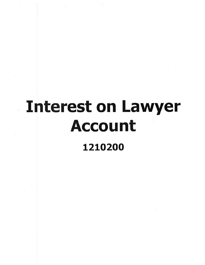## · Interest on Lawyer Account 1210200